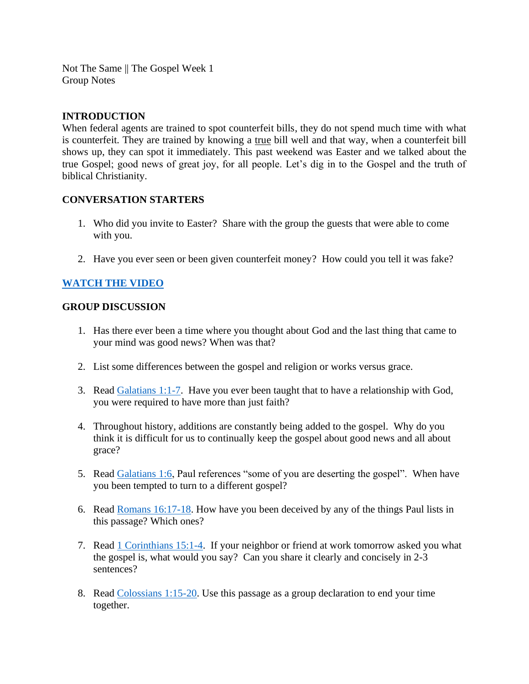Not The Same || The Gospel Week 1 Group Notes

## **INTRODUCTION**

When federal agents are trained to spot counterfeit bills, they do not spend much time with what is counterfeit. They are trained by knowing a true bill well and that way, when a counterfeit bill shows up, they can spot it immediately. This past weekend was Easter and we talked about the true Gospel; good news of great joy, for all people. Let's dig in to the Gospel and the truth of biblical Christianity.

## **CONVERSATION STARTERS**

- 1. Who did you invite to Easter? Share with the group the guests that were able to come with you.
- 2. Have you ever seen or been given counterfeit money? How could you tell it was fake?

## **[WATCH THE VIDEO](https://www.youtube.com/watch?v=Nsgwf3DJuU4)**

#### **GROUP DISCUSSION**

- 1. Has there ever been a time where you thought about God and the last thing that came to your mind was good news? When was that?
- 2. List some differences between the gospel and religion or works versus grace.
- 3. Read [Galatians 1:1-7.](https://www.biblegateway.com/passage/?search=Galatians+1%3A1-7&version=NIV) Have you ever been taught that to have a relationship with God, you were required to have more than just faith?
- 4. Throughout history, additions are constantly being added to the gospel. Why do you think it is difficult for us to continually keep the gospel about good news and all about grace?
- 5. Read [Galatians 1:6,](https://www.biblegateway.com/passage/?search=Galatians+1%3A6&version=NIV) Paul references "some of you are deserting the gospel". When have you been tempted to turn to a different gospel?
- 6. Read [Romans 16:17-18.](https://www.biblegateway.com/passage/?search=Romans+16%3A17-18&version=NIV) How have you been deceived by any of the things Paul lists in this passage? Which ones?
- 7. Read [1 Corinthians 15:1-4.](https://www.biblegateway.com/passage/?search=1+Corinthians+15%3A1-4&version=NIV) If your neighbor or friend at work tomorrow asked you what the gospel is, what would you say? Can you share it clearly and concisely in 2-3 sentences?
- 8. Read [Colossians 1:15-20.](https://www.biblegateway.com/passage/?search=Colossians+1%3A15-20&version=NIV) Use this passage as a group declaration to end your time together.